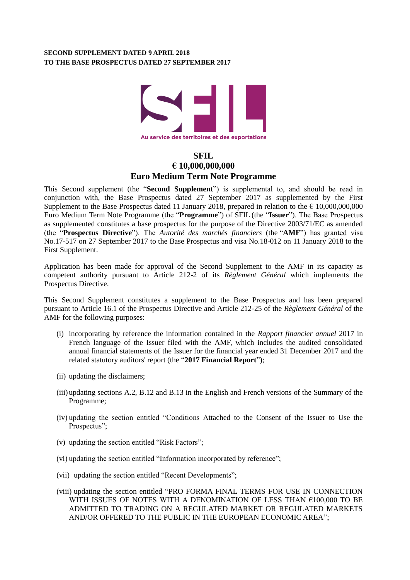## **SECOND SUPPLEMENT DATED 9 APRIL 2018 TO THE BASE PROSPECTUS DATED 27 SEPTEMBER 2017**



## **SFIL € 10,000,000,000 Euro Medium Term Note Programme**

This Second supplement (the "**Second Supplement**") is supplemental to, and should be read in conjunction with, the Base Prospectus dated 27 September 2017 as supplemented by the First Supplement to the Base Prospectus dated 11 January 2018, prepared in relation to the  $\epsilon$  10,000,000,000 Euro Medium Term Note Programme (the "**Programme**") of SFIL (the "**Issuer**"). The Base Prospectus as supplemented constitutes a base prospectus for the purpose of the Directive 2003/71/EC as amended (the "**Prospectus Directive**"). The *Autorité des marchés financiers* (the "**AMF**") has granted visa No.17-517 on 27 September 2017 to the Base Prospectus and visa No.18-012 on 11 January 2018 to the First Supplement.

Application has been made for approval of the Second Supplement to the AMF in its capacity as competent authority pursuant to Article 212-2 of its *Règlement Général* which implements the Prospectus Directive.

This Second Supplement constitutes a supplement to the Base Prospectus and has been prepared pursuant to Article 16.1 of the Prospectus Directive and Article 212-25 of the *Règlement Général* of the AMF for the following purposes:

- (i) incorporating by reference the information contained in the *Rapport financier annuel* 2017 in French language of the Issuer filed with the AMF, which includes the audited consolidated annual financial statements of the Issuer for the financial year ended 31 December 2017 and the related statutory auditors' report (the "**2017 Financial Report**");
- (ii) updating the disclaimers;
- (iii) updating sections A.2, B.12 and B.13 in the English and French versions of the Summary of the Programme;
- (iv) updating the section entitled "Conditions Attached to the Consent of the Issuer to Use the Prospectus";
- (v) updating the section entitled "Risk Factors";
- (vi) updating the section entitled "Information incorporated by reference";
- (vii) updating the section entitled "Recent Developments";
- (viii) updating the section entitled "PRO FORMA FINAL TERMS FOR USE IN CONNECTION WITH ISSUES OF NOTES WITH A DENOMINATION OF LESS THAN  $\mathsf{f}100,\!000$  TO BE ADMITTED TO TRADING ON A REGULATED MARKET OR REGULATED MARKETS AND/OR OFFERED TO THE PUBLIC IN THE EUROPEAN ECONOMIC AREA";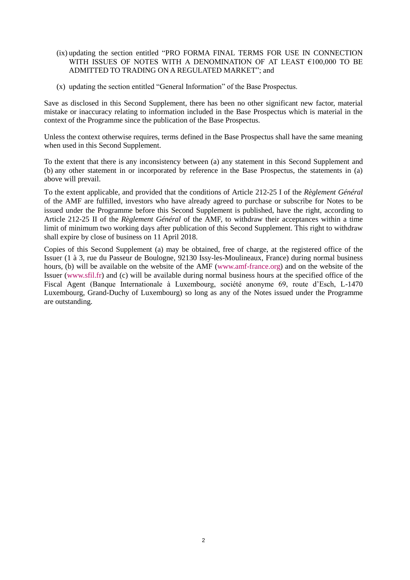- (ix) updating the section entitled "PRO FORMA FINAL TERMS FOR USE IN CONNECTION WITH ISSUES OF NOTES WITH A DENOMINATION OF AT LEAST  $€100,000$  TO BE ADMITTED TO TRADING ON A REGULATED MARKET"; and
- (x) updating the section entitled "General Information" of the Base Prospectus.

Save as disclosed in this Second Supplement, there has been no other significant new factor, material mistake or inaccuracy relating to information included in the Base Prospectus which is material in the context of the Programme since the publication of the Base Prospectus.

Unless the context otherwise requires, terms defined in the Base Prospectus shall have the same meaning when used in this Second Supplement.

To the extent that there is any inconsistency between (a) any statement in this Second Supplement and (b) any other statement in or incorporated by reference in the Base Prospectus, the statements in (a) above will prevail.

To the extent applicable, and provided that the conditions of Article 212-25 I of the *Règlement Général* of the AMF are fulfilled, investors who have already agreed to purchase or subscribe for Notes to be issued under the Programme before this Second Supplement is published, have the right, according to Article 212-25 II of the *Règlement Général* of the AMF, to withdraw their acceptances within a time limit of minimum two working days after publication of this Second Supplement. This right to withdraw shall expire by close of business on 11 April 2018.

Copies of this Second Supplement (a) may be obtained, free of charge, at the registered office of the Issuer (1 à 3, rue du Passeur de Boulogne, 92130 Issy-les-Moulineaux, France) during normal business hours, (b) will be available on the website of the AMF [\(www.amf-france.org\)](http://www.amf-france.org/) and on the website of the Issuer (www.sfil.fr) and (c) will be available during normal business hours at the specified office of the Fiscal Agent (Banque Internationale à Luxembourg, société anonyme 69, route d'Esch, L-1470 Luxembourg, Grand-Duchy of Luxembourg) so long as any of the Notes issued under the Programme are outstanding.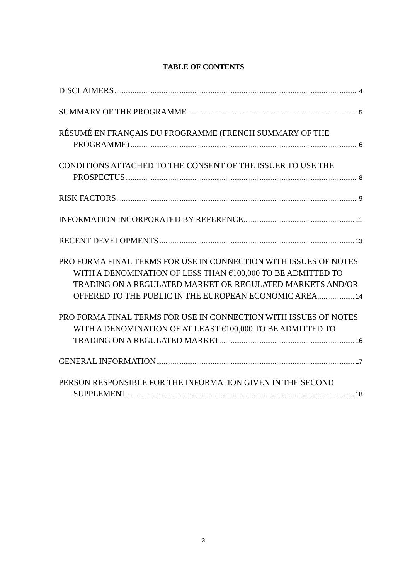## **TABLE OF CONTENTS**

| RÉSUMÉ EN FRANÇAIS DU PROGRAMME (FRENCH SUMMARY OF THE                                                                                                                                                                                                 |
|--------------------------------------------------------------------------------------------------------------------------------------------------------------------------------------------------------------------------------------------------------|
| CONDITIONS ATTACHED TO THE CONSENT OF THE ISSUER TO USE THE                                                                                                                                                                                            |
|                                                                                                                                                                                                                                                        |
|                                                                                                                                                                                                                                                        |
|                                                                                                                                                                                                                                                        |
| PRO FORMA FINAL TERMS FOR USE IN CONNECTION WITH ISSUES OF NOTES<br>WITH A DENOMINATION OF LESS THAN €100,000 TO BE ADMITTED TO<br>TRADING ON A REGULATED MARKET OR REGULATED MARKETS AND/OR<br>OFFERED TO THE PUBLIC IN THE EUROPEAN ECONOMIC AREA 14 |
| PRO FORMA FINAL TERMS FOR USE IN CONNECTION WITH ISSUES OF NOTES<br>WITH A DENOMINATION OF AT LEAST €100,000 TO BE ADMITTED TO                                                                                                                         |
|                                                                                                                                                                                                                                                        |
| PERSON RESPONSIBLE FOR THE INFORMATION GIVEN IN THE SECOND                                                                                                                                                                                             |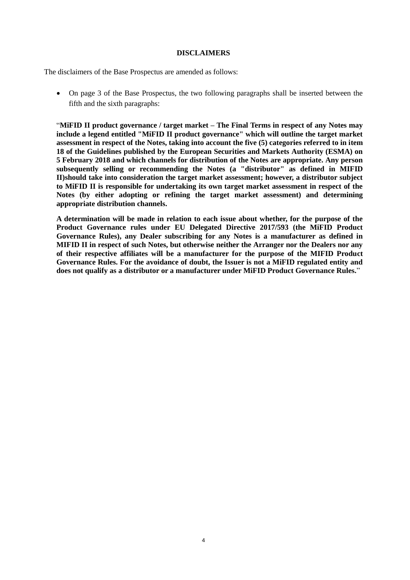#### **DISCLAIMERS**

<span id="page-3-0"></span>The disclaimers of the Base Prospectus are amended as follows:

 On page 3 of the Base Prospectus, the two following paragraphs shall be inserted between the fifth and the sixth paragraphs:

"**MiFID II product governance / target market – The Final Terms in respect of any Notes may include a legend entitled "MiFID II product governance" which will outline the target market assessment in respect of the Notes, taking into account the five (5) categories referred to in item 18 of the Guidelines published by the European Securities and Markets Authority (ESMA) on 5 February 2018 and which channels for distribution of the Notes are appropriate. Any person subsequently selling or recommending the Notes (a "distributor" as defined in MIFID II)should take into consideration the target market assessment; however, a distributor subject to MiFID II is responsible for undertaking its own target market assessment in respect of the Notes (by either adopting or refining the target market assessment) and determining appropriate distribution channels.**

**A determination will be made in relation to each issue about whether, for the purpose of the Product Governance rules under EU Delegated Directive 2017/593 (the MiFID Product Governance Rules), any Dealer subscribing for any Notes is a manufacturer as defined in MIFID II in respect of such Notes, but otherwise neither the Arranger nor the Dealers nor any of their respective affiliates will be a manufacturer for the purpose of the MIFID Product Governance Rules. For the avoidance of doubt, the Issuer is not a MiFID regulated entity and does not qualify as a distributor or a manufacturer under MiFID Product Governance Rules.**"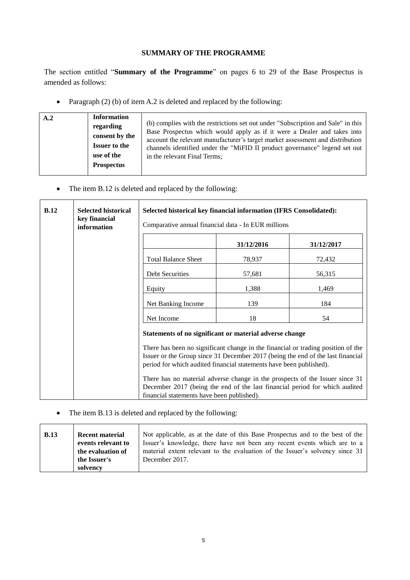## **SUMMARY OF THE PROGRAMME**

<span id="page-4-0"></span>The section entitled "**Summary of the Programme**" on pages 6 to 29 of the Base Prospectus is amended as follows:

• Paragraph (2) (b) of item A.2 is deleted and replaced by the following:

| A.2 | <b>Information</b>   |                                                                                  |
|-----|----------------------|----------------------------------------------------------------------------------|
|     | regarding            | (b) complies with the restrictions set out under "Subscription and Sale" in this |
|     | consent by the       | Base Prospectus which would apply as if it were a Dealer and takes into          |
|     |                      | account the relevant manufacturer's target market assessment and distribution    |
|     | <b>Issuer to the</b> | channels identified under the "MiFID II product governance" legend set out       |
|     | use of the           | in the relevant Final Terms;                                                     |
|     | <b>Prospectus</b>    |                                                                                  |
|     |                      |                                                                                  |

• The item B.12 is deleted and replaced by the following:

| B.12 | <b>Selected historical</b><br>key financial<br>information                                                                                                                                                                                 | Selected historical key financial information (IFRS Consolidated):<br>Comparative annual financial data - In EUR millions |            |            |
|------|--------------------------------------------------------------------------------------------------------------------------------------------------------------------------------------------------------------------------------------------|---------------------------------------------------------------------------------------------------------------------------|------------|------------|
|      |                                                                                                                                                                                                                                            |                                                                                                                           | 31/12/2016 | 31/12/2017 |
|      |                                                                                                                                                                                                                                            | <b>Total Balance Sheet</b>                                                                                                | 78,937     | 72,432     |
|      | Debt Securities                                                                                                                                                                                                                            | 57,681                                                                                                                    | 56,315     |            |
|      |                                                                                                                                                                                                                                            | Equity                                                                                                                    | 1,388      | 1,469      |
|      |                                                                                                                                                                                                                                            | Net Banking Income                                                                                                        | 139        | 184        |
|      |                                                                                                                                                                                                                                            | Net Income                                                                                                                | 18         | 54         |
|      |                                                                                                                                                                                                                                            | Statements of no significant or material adverse change                                                                   |            |            |
|      | There has been no significant change in the financial or trading position of the<br>Issuer or the Group since 31 December 2017 (being the end of the last financial<br>period for which audited financial statements have been published). |                                                                                                                           |            |            |
|      | There has no material adverse change in the prospects of the Issuer since 31<br>December 2017 (being the end of the last financial period for which audited<br>financial statements have been published).                                  |                                                                                                                           |            |            |

• The item B.13 is deleted and replaced by the following:

| B.13 | <b>Recent material</b> | Not applicable, as at the date of this Base Prospectus and to the best of the |
|------|------------------------|-------------------------------------------------------------------------------|
|      | events relevant to     | Issuer's knowledge, there have not been any recent events which are to a      |
|      | the evaluation of      | material extent relevant to the evaluation of the Issuer's solvency since 31  |
|      | the Issuer's           | December 2017.                                                                |
|      | solvency               |                                                                               |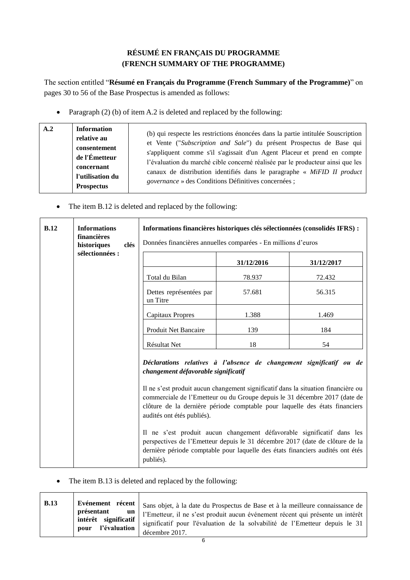# **RÉSUMÉ EN FRANÇAIS DU PROGRAMME (FRENCH SUMMARY OF THE PROGRAMME)**

<span id="page-5-0"></span>The section entitled "**Résumé en Français du Programme (French Summary of the Programme)**" on pages 30 to 56 of the Base Prospectus is amended as follows:

• Paragraph (2) (b) of item A.2 is deleted and replaced by the following:

| A.2 | <b>Information</b><br>relative au<br>consentement<br>de l'Émetteur<br>concernant<br>l'utilisation du<br><b>Prospectus</b> | (b) qui respecte les restrictions énoncées dans la partie intitulée Souscription<br>et Vente ("Subscription and Sale") du présent Prospectus de Base qui<br>s'appliquent comme s'il s'agissait d'un Agent Placeur et prend en compte<br>l'évaluation du marché cible concerné réalisée par le producteur ainsi que les<br>canaux de distribution identifiés dans le paragraphe « MiFID II product<br><i>governance</i> » des Conditions Définitives concernées ; |
|-----|---------------------------------------------------------------------------------------------------------------------------|------------------------------------------------------------------------------------------------------------------------------------------------------------------------------------------------------------------------------------------------------------------------------------------------------------------------------------------------------------------------------------------------------------------------------------------------------------------|
|-----|---------------------------------------------------------------------------------------------------------------------------|------------------------------------------------------------------------------------------------------------------------------------------------------------------------------------------------------------------------------------------------------------------------------------------------------------------------------------------------------------------------------------------------------------------------------------------------------------------|

• The item B.12 is deleted and replaced by the following:

| B.12 | <b>Informations</b><br>financières<br>historiques<br>clés | Informations financières historiques clés sélectionnées (consolidés IFRS) :<br>Données financières annuelles comparées - En millions d'euros                                                                                                                                                                                                                                                                                                                                                                                                                                                                                                        |            |            |
|------|-----------------------------------------------------------|-----------------------------------------------------------------------------------------------------------------------------------------------------------------------------------------------------------------------------------------------------------------------------------------------------------------------------------------------------------------------------------------------------------------------------------------------------------------------------------------------------------------------------------------------------------------------------------------------------------------------------------------------------|------------|------------|
|      | sélectionnées :                                           |                                                                                                                                                                                                                                                                                                                                                                                                                                                                                                                                                                                                                                                     | 31/12/2016 | 31/12/2017 |
|      |                                                           | Total du Bilan                                                                                                                                                                                                                                                                                                                                                                                                                                                                                                                                                                                                                                      | 78.937     | 72.432     |
|      |                                                           | Dettes représentées par<br>un Titre                                                                                                                                                                                                                                                                                                                                                                                                                                                                                                                                                                                                                 | 57.681     | 56.315     |
|      |                                                           | <b>Capitaux Propres</b>                                                                                                                                                                                                                                                                                                                                                                                                                                                                                                                                                                                                                             | 1.388      | 1.469      |
|      |                                                           | Produit Net Bancaire                                                                                                                                                                                                                                                                                                                                                                                                                                                                                                                                                                                                                                | 139        | 184        |
|      |                                                           | Résultat Net                                                                                                                                                                                                                                                                                                                                                                                                                                                                                                                                                                                                                                        | 18         | 54         |
|      |                                                           | Déclarations relatives à l'absence de changement significatif ou de<br>changement défavorable significatif<br>Il ne s'est produit aucun changement significatif dans la situation financière ou<br>commerciale de l'Emetteur ou du Groupe depuis le 31 décembre 2017 (date de<br>clôture de la dernière période comptable pour laquelle des états financiers<br>audités ont étés publiés).<br>Il ne s'est produit aucun changement défavorable significatif dans les<br>perspectives de l'Emetteur depuis le 31 décembre 2017 (date de clôture de la<br>dernière période comptable pour laquelle des états financiers audités ont étés<br>publiés). |            |            |

• The item B.13 is deleted and replaced by the following:

| <b>B.13</b> |                                                                    | Evénement récent   Sans objet, à la date du Prospectus de Base et à la meilleure connaissance de                                                                                |
|-------------|--------------------------------------------------------------------|---------------------------------------------------------------------------------------------------------------------------------------------------------------------------------|
|             | présentant<br>un<br>$intérêt$ significatif<br>l'évaluation<br>pour | l'Emetteur, il ne s'est produit aucun événement récent qui présente un intérêt<br>significatif pour l'évaluation de la solvabilité de l'Emetteur depuis le 31<br>décembre 2017. |
|             |                                                                    |                                                                                                                                                                                 |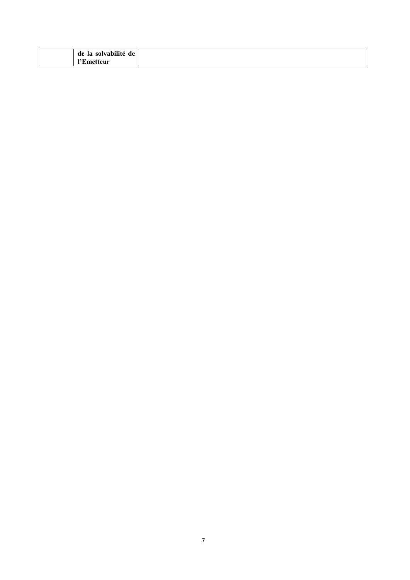| $\cdots$<br>$\overline{\phantom{0}}$<br>de<br>solvabilité<br>-la<br>de |  |
|------------------------------------------------------------------------|--|
| 1937<br>imetteur                                                       |  |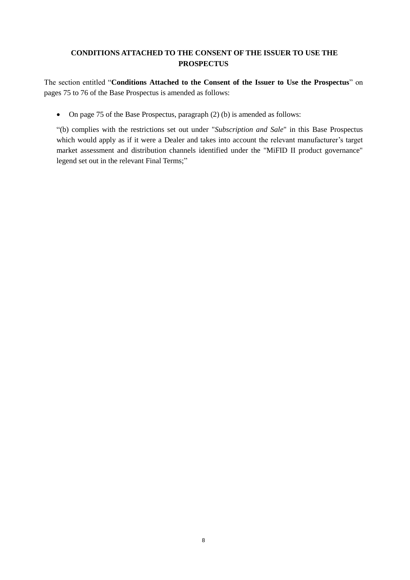## <span id="page-7-0"></span>**CONDITIONS ATTACHED TO THE CONSENT OF THE ISSUER TO USE THE PROSPECTUS**

The section entitled "**Conditions Attached to the Consent of the Issuer to Use the Prospectus**" on pages 75 to 76 of the Base Prospectus is amended as follows:

• On page 75 of the Base Prospectus, paragraph (2) (b) is amended as follows:

"(b) complies with the restrictions set out under "*Subscription and Sale*" in this Base Prospectus which would apply as if it were a Dealer and takes into account the relevant manufacturer's target market assessment and distribution channels identified under the "MiFID II product governance" legend set out in the relevant Final Terms;"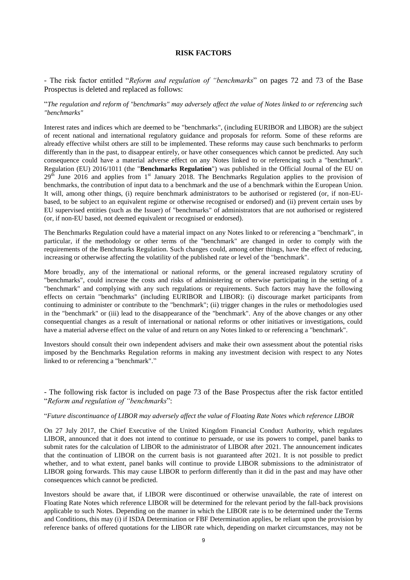#### **RISK FACTORS**

<span id="page-8-0"></span>- The risk factor entitled "*Reform and regulation of "benchmarks*" on pages 72 and 73 of the Base Prospectus is deleted and replaced as follows:

#### "*The regulation and reform of "benchmarks" may adversely affect the value of Notes linked to or referencing such "benchmarks"*

Interest rates and indices which are deemed to be "benchmarks", (including EURIBOR and LIBOR) are the subject of recent national and international regulatory guidance and proposals for reform. Some of these reforms are already effective whilst others are still to be implemented. These reforms may cause such benchmarks to perform differently than in the past, to disappear entirely, or have other consequences which cannot be predicted. Any such consequence could have a material adverse effect on any Notes linked to or referencing such a "benchmark". Regulation (EU) 2016/1011 (the "**Benchmarks Regulation**") was published in the Official Journal of the EU on  $29<sup>th</sup>$  June 2016 and applies from 1<sup>st</sup> January 2018. The Benchmarks Regulation applies to the provision of benchmarks, the contribution of input data to a benchmark and the use of a benchmark within the European Union. It will, among other things, (i) require benchmark administrators to be authorised or registered (or, if non-EUbased, to be subject to an equivalent regime or otherwise recognised or endorsed) and (ii) prevent certain uses by EU supervised entities (such as the Issuer) of "benchmarks" of administrators that are not authorised or registered (or, if non-EU based, not deemed equivalent or recognised or endorsed).

The Benchmarks Regulation could have a material impact on any Notes linked to or referencing a "benchmark", in particular, if the methodology or other terms of the "benchmark" are changed in order to comply with the requirements of the Benchmarks Regulation. Such changes could, among other things, have the effect of reducing, increasing or otherwise affecting the volatility of the published rate or level of the "benchmark".

More broadly, any of the international or national reforms, or the general increased regulatory scrutiny of "benchmarks", could increase the costs and risks of administering or otherwise participating in the setting of a "benchmark" and complying with any such regulations or requirements. Such factors may have the following effects on certain "benchmarks" (including EURIBOR and LIBOR): (i) discourage market participants from continuing to administer or contribute to the "benchmark"; (ii) trigger changes in the rules or methodologies used in the "benchmark" or (iii) lead to the disappearance of the "benchmark". Any of the above changes or any other consequential changes as a result of international or national reforms or other initiatives or investigations, could have a material adverse effect on the value of and return on any Notes linked to or referencing a "benchmark".

Investors should consult their own independent advisers and make their own assessment about the potential risks imposed by the Benchmarks Regulation reforms in making any investment decision with respect to any Notes linked to or referencing a "benchmark"."

- The following risk factor is included on page 73 of the Base Prospectus after the risk factor entitled "*Reform and regulation of "benchmarks*":

#### "*Future discontinuance of LIBOR may adversely affect the value of Floating Rate Notes which reference LIBOR*

On 27 July 2017, the Chief Executive of the United Kingdom Financial Conduct Authority, which regulates LIBOR, announced that it does not intend to continue to persuade, or use its powers to compel, panel banks to submit rates for the calculation of LIBOR to the administrator of LIBOR after 2021. The announcement indicates that the continuation of LIBOR on the current basis is not guaranteed after 2021. It is not possible to predict whether, and to what extent, panel banks will continue to provide LIBOR submissions to the administrator of LIBOR going forwards. This may cause LIBOR to perform differently than it did in the past and may have other consequences which cannot be predicted.

Investors should be aware that, if LIBOR were discontinued or otherwise unavailable, the rate of interest on Floating Rate Notes which reference LIBOR will be determined for the relevant period by the fall-back provisions applicable to such Notes. Depending on the manner in which the LIBOR rate is to be determined under the Terms and Conditions, this may (i) if ISDA Determination or FBF Determination applies, be reliant upon the provision by reference banks of offered quotations for the LIBOR rate which, depending on market circumstances, may not be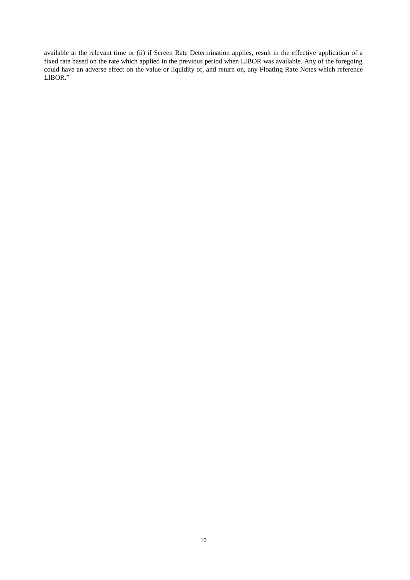available at the relevant time or (ii) if Screen Rate Determination applies, result in the effective application of a fixed rate based on the rate which applied in the previous period when LIBOR was available. Any of the foregoing could have an adverse effect on the value or liquidity of, and return on, any Floating Rate Notes which reference LIBOR."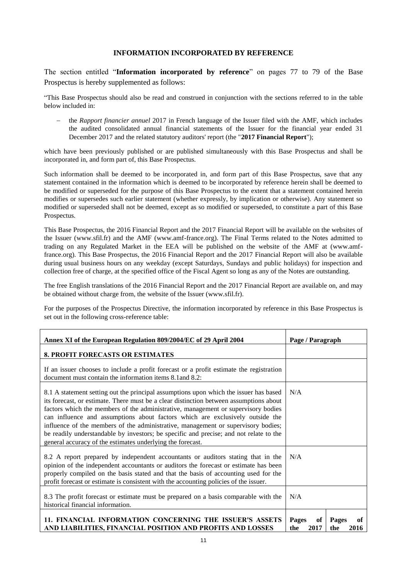#### **INFORMATION INCORPORATED BY REFERENCE**

<span id="page-10-0"></span>The section entitled "**Information incorporated by reference**" on pages 77 to 79 of the Base Prospectus is hereby supplemented as follows:

"This Base Prospectus should also be read and construed in conjunction with the sections referred to in the table below included in:

 the *Rapport financier annuel* 2017 in French language of the Issuer filed with the AMF, which includes the audited consolidated annual financial statements of the Issuer for the financial year ended 31 December 2017 and the related statutory auditors' report (the "**2017 Financial Report**");

which have been previously published or are published simultaneously with this Base Prospectus and shall be incorporated in, and form part of, this Base Prospectus.

Such information shall be deemed to be incorporated in, and form part of this Base Prospectus, save that any statement contained in the information which is deemed to be incorporated by reference herein shall be deemed to be modified or superseded for the purpose of this Base Prospectus to the extent that a statement contained herein modifies or supersedes such earlier statement (whether expressly, by implication or otherwise). Any statement so modified or superseded shall not be deemed, except as so modified or superseded, to constitute a part of this Base Prospectus.

This Base Prospectus, the 2016 Financial Report and the 2017 Financial Report will be available on the websites of the Issuer (www.sfil.fr) and the AMF (www.amf-france.org). The Final Terms related to the Notes admitted to trading on any Regulated Market in the EEA will be published on the website of the AMF at (www.amffrance.org). This Base Prospectus, the 2016 Financial Report and the 2017 Financial Report will also be available during usual business hours on any weekday (except Saturdays, Sundays and public holidays) for inspection and collection free of charge, at the specified office of the Fiscal Agent so long as any of the Notes are outstanding.

The free English translations of the 2016 Financial Report and the 2017 Financial Report are available on, and may be obtained without charge from, the website of the Issuer (www.sfil.fr).

For the purposes of the Prospectus Directive, the information incorporated by reference in this Base Prospectus is set out in the following cross-reference table:

| Annex XI of the European Regulation 809/2004/EC of 29 April 2004                                                                                                                                                                                                                                                                                                                                                                                                                                                                                                                                   | Page / Paragraph                                         |
|----------------------------------------------------------------------------------------------------------------------------------------------------------------------------------------------------------------------------------------------------------------------------------------------------------------------------------------------------------------------------------------------------------------------------------------------------------------------------------------------------------------------------------------------------------------------------------------------------|----------------------------------------------------------|
| <b>8. PROFIT FORECASTS OR ESTIMATES</b>                                                                                                                                                                                                                                                                                                                                                                                                                                                                                                                                                            |                                                          |
| If an issuer chooses to include a profit forecast or a profit estimate the registration<br>document must contain the information items 8.1 and 8.2:                                                                                                                                                                                                                                                                                                                                                                                                                                                |                                                          |
| 8.1 A statement setting out the principal assumptions upon which the issuer has based<br>its forecast, or estimate. There must be a clear distinction between assumptions about<br>factors which the members of the administrative, management or supervisory bodies<br>can influence and assumptions about factors which are exclusively outside the<br>influence of the members of the administrative, management or supervisory bodies;<br>be readily understandable by investors; be specific and precise; and not relate to the<br>general accuracy of the estimates underlying the forecast. | N/A                                                      |
| 8.2 A report prepared by independent accountants or auditors stating that in the<br>opinion of the independent accountants or auditors the forecast or estimate has been<br>properly compiled on the basis stated and that the basis of accounting used for the<br>profit forecast or estimate is consistent with the accounting policies of the issuer.                                                                                                                                                                                                                                           | N/A                                                      |
| 8.3 The profit forecast or estimate must be prepared on a basis comparable with the<br>historical financial information.                                                                                                                                                                                                                                                                                                                                                                                                                                                                           | N/A                                                      |
| 11. FINANCIAL INFORMATION CONCERNING THE ISSUER'S ASSETS<br>AND LIABILITIES, FINANCIAL POSITION AND PROFITS AND LOSSES                                                                                                                                                                                                                                                                                                                                                                                                                                                                             | Pages<br>of<br>Pages<br>of<br>the<br>2017<br>2016<br>the |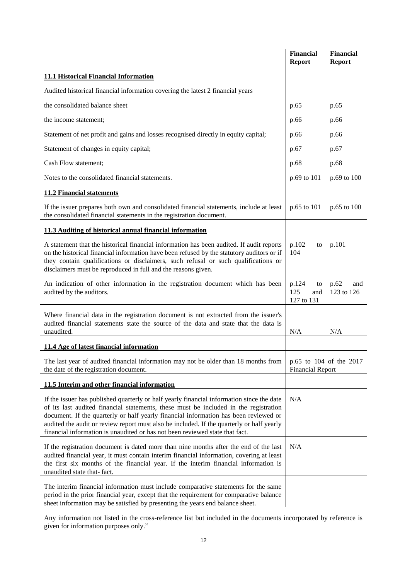|                                                                                                                                                                                                                                                                                                                                                                                                                                                        | <b>Financial</b><br><b>Report</b>       | <b>Financial</b><br><b>Report</b> |
|--------------------------------------------------------------------------------------------------------------------------------------------------------------------------------------------------------------------------------------------------------------------------------------------------------------------------------------------------------------------------------------------------------------------------------------------------------|-----------------------------------------|-----------------------------------|
| <b>11.1 Historical Financial Information</b>                                                                                                                                                                                                                                                                                                                                                                                                           |                                         |                                   |
| Audited historical financial information covering the latest 2 financial years                                                                                                                                                                                                                                                                                                                                                                         |                                         |                                   |
| the consolidated balance sheet                                                                                                                                                                                                                                                                                                                                                                                                                         | p.65                                    | p.65                              |
| the income statement;                                                                                                                                                                                                                                                                                                                                                                                                                                  | p.66                                    | p.66                              |
| Statement of net profit and gains and losses recognised directly in equity capital;                                                                                                                                                                                                                                                                                                                                                                    | p.66                                    | p.66                              |
| Statement of changes in equity capital;                                                                                                                                                                                                                                                                                                                                                                                                                | p.67                                    | p.67                              |
| Cash Flow statement;                                                                                                                                                                                                                                                                                                                                                                                                                                   | p.68                                    | p.68                              |
| Notes to the consolidated financial statements.                                                                                                                                                                                                                                                                                                                                                                                                        | p.69 to 101                             | p.69 to 100                       |
| <b>11.2 Financial statements</b>                                                                                                                                                                                                                                                                                                                                                                                                                       |                                         |                                   |
| If the issuer prepares both own and consolidated financial statements, include at least<br>the consolidated financial statements in the registration document.                                                                                                                                                                                                                                                                                         | p.65 to 101                             | p.65 to 100                       |
| 11.3 Auditing of historical annual financial information                                                                                                                                                                                                                                                                                                                                                                                               |                                         |                                   |
| A statement that the historical financial information has been audited. If audit reports<br>on the historical financial information have been refused by the statutory auditors or if<br>they contain qualifications or disclaimers, such refusal or such qualifications or<br>disclaimers must be reproduced in full and the reasons given.                                                                                                           | p.102<br>to<br>104                      | p.101                             |
| An indication of other information in the registration document which has been<br>audited by the auditors.                                                                                                                                                                                                                                                                                                                                             | p.124<br>to<br>125<br>and<br>127 to 131 | p.62<br>and<br>123 to 126         |
| Where financial data in the registration document is not extracted from the issuer's<br>audited financial statements state the source of the data and state that the data is<br>unaudited.                                                                                                                                                                                                                                                             | N/A                                     | N/A                               |
| 11.4 Age of latest financial information                                                                                                                                                                                                                                                                                                                                                                                                               |                                         |                                   |
| The last year of audited financial information may not be older than 18 months from<br>the date of the registration document.                                                                                                                                                                                                                                                                                                                          | <b>Financial Report</b>                 | p.65 to 104 of the 2017           |
| 11.5 Interim and other financial information                                                                                                                                                                                                                                                                                                                                                                                                           |                                         |                                   |
| If the issuer has published quarterly or half yearly financial information since the date<br>of its last audited financial statements, these must be included in the registration<br>document. If the quarterly or half yearly financial information has been reviewed or<br>audited the audit or review report must also be included. If the quarterly or half yearly<br>financial information is unaudited or has not been reviewed state that fact. | N/A                                     |                                   |
| If the registration document is dated more than nine months after the end of the last<br>audited financial year, it must contain interim financial information, covering at least<br>the first six months of the financial year. If the interim financial information is<br>unaudited state that-fact.                                                                                                                                                 | N/A                                     |                                   |
| The interim financial information must include comparative statements for the same<br>period in the prior financial year, except that the requirement for comparative balance<br>sheet information may be satisfied by presenting the years end balance sheet.                                                                                                                                                                                         |                                         |                                   |

Any information not listed in the cross-reference list but included in the documents incorporated by reference is given for information purposes only."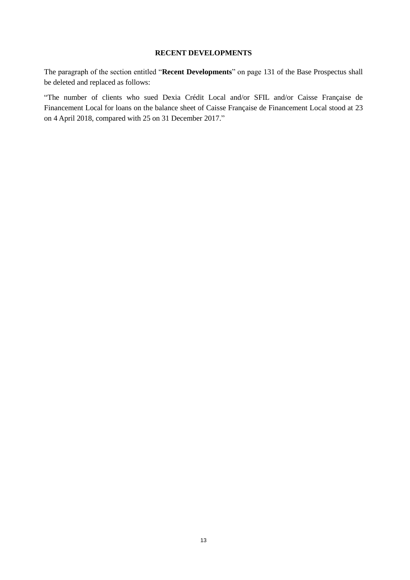### **RECENT DEVELOPMENTS**

<span id="page-12-0"></span>The paragraph of the section entitled "**Recent Developments**" on page 131 of the Base Prospectus shall be deleted and replaced as follows:

"The number of clients who sued Dexia Crédit Local and/or SFIL and/or Caisse Française de Financement Local for loans on the balance sheet of Caisse Française de Financement Local stood at 23 on 4 April 2018, compared with 25 on 31 December 2017."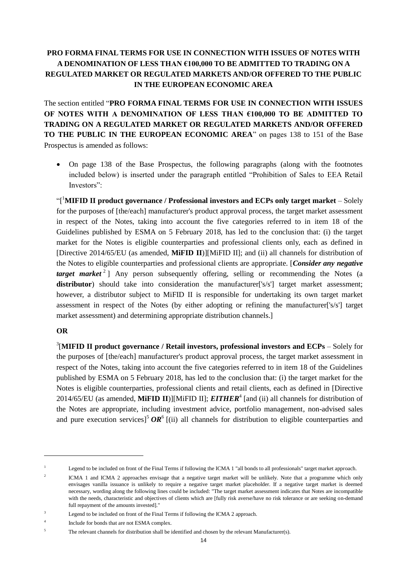## <span id="page-13-0"></span>**PRO FORMA FINAL TERMS FOR USE IN CONNECTION WITH ISSUES OF NOTES WITH A DENOMINATION OF LESS THAN €100,000 TO BE ADMITTED TO TRADING ON A REGULATED MARKET OR REGULATED MARKETS AND/OR OFFERED TO THE PUBLIC IN THE EUROPEAN ECONOMIC AREA**

The section entitled "**PRO FORMA FINAL TERMS FOR USE IN CONNECTION WITH ISSUES OF NOTES WITH A DENOMINATION OF LESS THAN €100,000 TO BE ADMITTED TO TRADING ON A REGULATED MARKET OR REGULATED MARKETS AND/OR OFFERED TO THE PUBLIC IN THE EUROPEAN ECONOMIC AREA**" on pages 138 to 151 of the Base Prospectus is amended as follows:

 On page 138 of the Base Prospectus, the following paragraphs (along with the footnotes included below) is inserted under the paragraph entitled "Prohibition of Sales to EEA Retail Investors":

"[ <sup>1</sup>**MIFID II product governance / Professional investors and ECPs only target market** – Solely for the purposes of [the/each] manufacturer's product approval process, the target market assessment in respect of the Notes, taking into account the five categories referred to in item 18 of the Guidelines published by ESMA on 5 February 2018, has led to the conclusion that: (i) the target market for the Notes is eligible counterparties and professional clients only, each as defined in [Directive 2014/65/EU (as amended, **MiFID II**)][MiFID II]; and (ii) all channels for distribution of the Notes to eligible counterparties and professional clients are appropriate. [*Consider any negative target market* 2 ] Any person subsequently offering, selling or recommending the Notes (a **distributor**) should take into consideration the manufacturer['s/s'] target market assessment; however, a distributor subject to MiFID II is responsible for undertaking its own target market assessment in respect of the Notes (by either adopting or refining the manufacturer['s/s'] target market assessment) and determining appropriate distribution channels.]

## **OR**

-

3 [**MIFID II product governance / Retail investors, professional investors and ECPs** – Solely for the purposes of [the/each] manufacturer's product approval process, the target market assessment in respect of the Notes, taking into account the five categories referred to in item 18 of the Guidelines published by ESMA on 5 February 2018, has led to the conclusion that: (i) the target market for the Notes is eligible counterparties, professional clients and retail clients, each as defined in [Directive 2014/65/EU (as amended, MiFID II)][MiFID II]; *EITHER<sup>4</sup>* [and (ii) all channels for distribution of the Notes are appropriate, including investment advice, portfolio management, non-advised sales and pure execution services]<sup>5</sup>  $OR<sup>6</sup>$  [(ii) all channels for distribution to eligible counterparties and

<sup>1</sup> Legend to be included on front of the Final Terms if following the ICMA 1 "all bonds to all professionals" target market approach.

<sup>2</sup> ICMA 1 and ICMA 2 approaches envisage that a negative target market will be unlikely. Note that a programme which only envisages vanilla issuance is unlikely to require a negative target market placeholder. If a negative target market is deemed necessary, wording along the following lines could be included: "The target market assessment indicates that Notes are incompatible with the needs, characteristic and objectives of clients which are [fully risk averse/have no risk tolerance or are seeking on-demand full repayment of the amounts invested]."

<sup>&</sup>lt;sup>3</sup> Legend to be included on front of the Final Terms if following the ICMA 2 approach.

<sup>4</sup> Include for bonds that are not ESMA complex.

<sup>&</sup>lt;sup>5</sup> The relevant channels for distribution shall be identified and chosen by the relevant Manufacturer(s).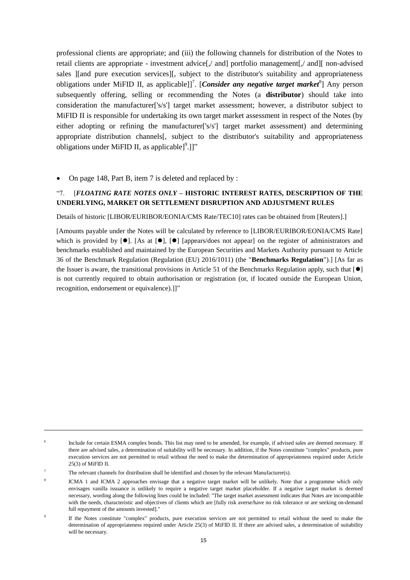professional clients are appropriate; and (iii) the following channels for distribution of the Notes to retail clients are appropriate - investment advice[,/ and] portfolio management[,/ and][ non-advised sales ][and pure execution services][, subject to the distributor's suitability and appropriateness obligations under MiFID II, as applicable]]<sup>7</sup>. [*Consider any negative target market*<sup>8</sup>] Any person subsequently offering, selling or recommending the Notes (a **distributor**) should take into consideration the manufacturer['s/s'] target market assessment; however, a distributor subject to MiFID II is responsible for undertaking its own target market assessment in respect of the Notes (by either adopting or refining the manufacturer['s/s'] target market assessment) and determining appropriate distribution channels[, subject to the distributor's suitability and appropriateness obligations under MiFID II, as applicable] $^9$ .]]"

On page 148, Part B, item 7 is deleted and replaced by :

### "7. [*FLOATING RATE NOTES ONLY* **– HISTORIC INTEREST RATES, DESCRIPTION OF THE UNDERLYING, MARKET OR SETTLEMENT DISRUPTION AND ADJUSTMENT RULES**

Details of historic [LIBOR/EURIBOR/EONIA/CMS Rate/TEC10] rates can be obtained from [Reuters].]

[Amounts payable under the Notes will be calculated by reference to [LIBOR/EURIBOR/EONIA/CMS Rate] which is provided by  $[0]$ . [As at  $[0]$ ,  $[0]$  [appears/does not appear] on the register of administrators and benchmarks established and maintained by the European Securities and Markets Authority pursuant to Article 36 of the Benchmark Regulation (Regulation (EU) 2016/1011) (the "**Benchmarks Regulation**").] [As far as the Issuer is aware, the transitional provisions in Article 51 of the Benchmarks Regulation apply, such that  $[ $\bullet$ ]$ is not currently required to obtain authorisation or registration (or, if located outside the European Union, recognition, endorsement or equivalence).]]"

1

<sup>6</sup> Include for certain ESMA complex bonds. This list may need to be amended, for example, if advised sales are deemed necessary. If there are advised sales, a determination of suitability will be necessary. In addition, if the Notes constitute "complex" products, pure execution services are not permitted to retail without the need to make the determination of appropriateness required under Article 25(3) of MiFID II.

<sup>7</sup> The relevant channels for distribution shall be identified and chosen by the relevant Manufacturer(s).

<sup>8</sup> ICMA 1 and ICMA 2 approaches envisage that a negative target market will be unlikely. Note that a programme which only envisages vanilla issuance is unlikely to require a negative target market placeholder. If a negative target market is deemed necessary, wording along the following lines could be included: "The target market assessment indicates that Notes are incompatible with the needs, characteristic and objectives of clients which are [fully risk averse/have no risk tolerance or are seeking on-demand full repayment of the amounts invested]."

<sup>9</sup> If the Notes constitute "complex" products, pure execution services are not permitted to retail without the need to make the determination of appropriateness required under Article 25(3) of MiFID II. If there are advised sales, a determination of suitability will be necessary.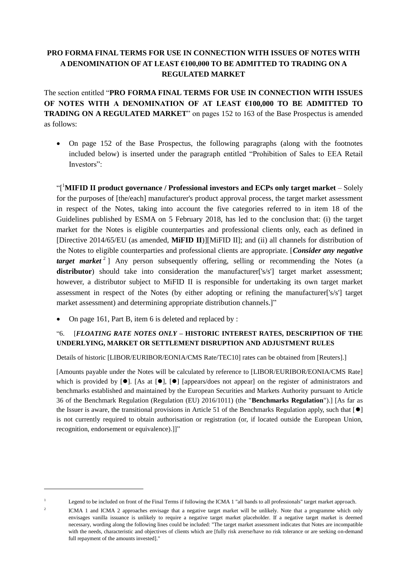## <span id="page-15-0"></span>**PRO FORMA FINAL TERMS FOR USE IN CONNECTION WITH ISSUES OF NOTES WITH A DENOMINATION OF AT LEAST €100,000 TO BE ADMITTED TO TRADING ON A REGULATED MARKET**

The section entitled "**PRO FORMA FINAL TERMS FOR USE IN CONNECTION WITH ISSUES OF NOTES WITH A DENOMINATION OF AT LEAST €100,000 TO BE ADMITTED TO TRADING ON A REGULATED MARKET**" on pages 152 to 163 of the Base Prospectus is amended as follows:

 On page 152 of the Base Prospectus, the following paragraphs (along with the footnotes included below) is inserted under the paragraph entitled "Prohibition of Sales to EEA Retail Investors":

"[ <sup>1</sup>**MIFID II product governance / Professional investors and ECPs only target market** – Solely for the purposes of [the/each] manufacturer's product approval process, the target market assessment in respect of the Notes, taking into account the five categories referred to in item 18 of the Guidelines published by ESMA on 5 February 2018, has led to the conclusion that: (i) the target market for the Notes is eligible counterparties and professional clients only, each as defined in [Directive 2014/65/EU (as amended, **MiFID II**)][MiFID II]; and (ii) all channels for distribution of the Notes to eligible counterparties and professional clients are appropriate. [*Consider any negative target market*<sup>2</sup> Any person subsequently offering, selling or recommending the Notes (a **distributor**) should take into consideration the manufacturer['s/s'] target market assessment; however, a distributor subject to MiFID II is responsible for undertaking its own target market assessment in respect of the Notes (by either adopting or refining the manufacturer['s/s'] target market assessment) and determining appropriate distribution channels.]"

On page 161, Part B, item 6 is deleted and replaced by :

1

2

## "6. [*FLOATING RATE NOTES ONLY* **– HISTORIC INTEREST RATES, DESCRIPTION OF THE UNDERLYING, MARKET OR SETTLEMENT DISRUPTION AND ADJUSTMENT RULES**

Details of historic [LIBOR/EURIBOR/EONIA/CMS Rate/TEC10] rates can be obtained from [Reuters].]

[Amounts payable under the Notes will be calculated by reference to [LIBOR/EURIBOR/EONIA/CMS Rate] which is provided by  $[\bullet]$ . [As at  $[\bullet]$ ,  $[\bullet]$  [appears/does not appear] on the register of administrators and benchmarks established and maintained by the European Securities and Markets Authority pursuant to Article 36 of the Benchmark Regulation (Regulation (EU) 2016/1011) (the "**Benchmarks Regulation**").] [As far as the Issuer is aware, the transitional provisions in Article 51 of the Benchmarks Regulation apply, such that  $[ $\bullet$ ]$ is not currently required to obtain authorisation or registration (or, if located outside the European Union, recognition, endorsement or equivalence).]]"

<sup>&</sup>lt;sup>1</sup> Legend to be included on front of the Final Terms if following the ICMA 1 "all bands to all professionals" target market approach.

ICMA 1 and ICMA 2 approaches envisage that a negative target market will be unlikely. Note that a programme which only envisages vanilla issuance is unlikely to require a negative target market placeholder. If a negative target market is deemed necessary, wording along the following lines could be included: "The target market assessment indicates that Notes are incompatible with the needs, characteristic and objectives of clients which are [fully risk averse/have no risk tolerance or are seeking on-demand full repayment of the amounts invested]."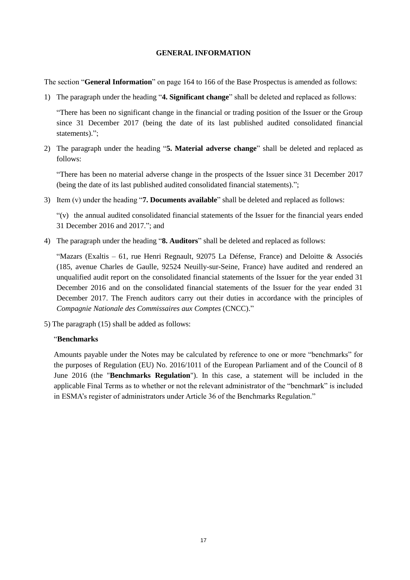#### **GENERAL INFORMATION**

<span id="page-16-0"></span>The section "**General Information**" on page 164 to 166 of the Base Prospectus is amended as follows:

1) The paragraph under the heading "**4. Significant change**" shall be deleted and replaced as follows:

"There has been no significant change in the financial or trading position of the Issuer or the Group since 31 December 2017 (being the date of its last published audited consolidated financial statements).":

2) The paragraph under the heading "**5. Material adverse change**" shall be deleted and replaced as follows:

"There has been no material adverse change in the prospects of the Issuer since 31 December 2017 (being the date of its last published audited consolidated financial statements).";

3) Item (v) under the heading "**7. Documents available**" shall be deleted and replaced as follows:

"(v) the annual audited consolidated financial statements of the Issuer for the financial years ended 31 December 2016 and 2017."; and

4) The paragraph under the heading "**8. Auditors**" shall be deleted and replaced as follows:

"Mazars (Exaltis – 61, rue Henri Regnault, 92075 La Défense, France) and Deloitte & Associés (185, avenue Charles de Gaulle, 92524 Neuilly-sur-Seine, France) have audited and rendered an unqualified audit report on the consolidated financial statements of the Issuer for the year ended 31 December 2016 and on the consolidated financial statements of the Issuer for the year ended 31 December 2017. The French auditors carry out their duties in accordance with the principles of *Compagnie Nationale des Commissaires aux Comptes* (CNCC)."

5) The paragraph (15) shall be added as follows:

### "**Benchmarks**

Amounts payable under the Notes may be calculated by reference to one or more "benchmarks" for the purposes of Regulation (EU) No. 2016/1011 of the European Parliament and of the Council of 8 June 2016 (the "**Benchmarks Regulation**"). In this case, a statement will be included in the applicable Final Terms as to whether or not the relevant administrator of the "benchmark" is included in ESMA's register of administrators under Article 36 of the Benchmarks Regulation."